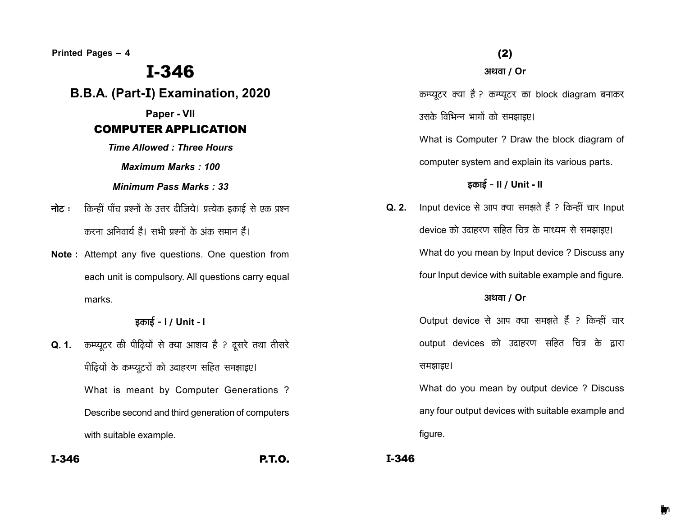Printed Pages - 4

# **I-346**

B.B.A. (Part-I) Examination, 2020

Paper - VII

# **COMPUTER APPLICATION**

**Time Allowed: Three Hours** 

**Maximum Marks: 100** 

Minimum Pass Marks: 33

- नोट : किन्हीं पाँच प्रश्नों के उत्तर दीजिये। प्रत्येक इकाई से एक प्रश्न करना अनिवार्य है। सभी पश्नों के अंक समान हैं।
- Note: Attempt any five questions. One question from each unit is compulsory. All questions carry equal marks.

## इकाई - I / Unit - I

- Q. 1. कम्प्यूटर की पीढ़ियों से क्या आशय है ? दूसरे तथा तीसरे पीढियों के कम्प्युटरों को उदाहरण सहित समझाइए। What is meant by Computer Generations ? Describe second and third generation of computers with suitable example.
- $I-346$

**P.T.O.** 

### अथवा / Or

कम्प्यूटर क्या है ? कम्प्यूटर का block diagram बनाकर उसके विभिन्न भागों को समझाइए।

What is Computer ? Draw the block diagram of computer system and explain its various parts.

# इकाई - II / Unit - II

Q. 2. Input device से आप क्या समझते हैं ? किन्हीं चार Input device को उदाहरण सहित चित्र के माध्यम से समझाइए। What do you mean by Input device? Discuss any four Input device with suitable example and figure.

### अथवा / Or

Output device से आप क्या समझते हैं ? किन्हीं चार output devices को उदाहरण सहित चित्र के द्वारा समझाइए।

What do you mean by output device ? Discuss any four output devices with suitable example and figure.